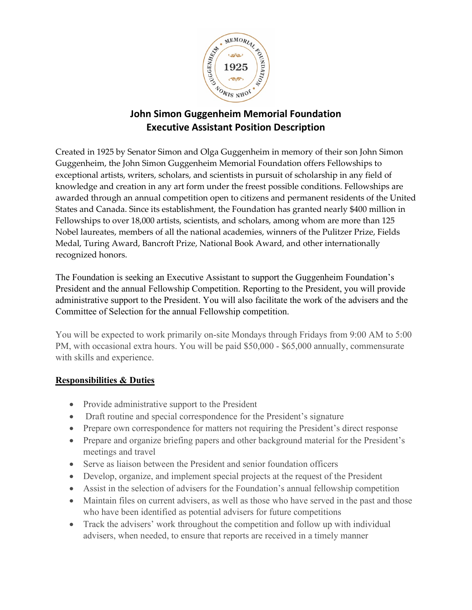

## **John Simon Guggenheim Memorial Foundation Executive Assistant Position Description**

Created in 1925 by Senator Simon and Olga Guggenheim in memory of their son John Simon Guggenheim, the John Simon Guggenheim Memorial Foundation offers Fellowships to exceptional artists, writers, scholars, and scientists in pursuit of scholarship in any field of knowledge and creation in any art form under the freest possible conditions. Fellowships are awarded through an annual competition open to citizens and permanent residents of the United States and Canada. Since its establishment, the Foundation has granted nearly \$400 million in Fellowships to over 18,000 artists, scientists, and scholars, among whom are more than 125 Nobel laureates, members of all the national academies, winners of the Pulitzer Prize, Fields Medal, Turing Award, Bancroft Prize, National Book Award, and other internationally recognized honors.

The Foundation is seeking an Executive Assistant to support the Guggenheim Foundation's President and the annual Fellowship Competition. Reporting to the President, you will provide administrative support to the President. You will also facilitate the work of the advisers and the Committee of Selection for the annual Fellowship competition.

You will be expected to work primarily on-site Mondays through Fridays from 9:00 AM to 5:00 PM, with occasional extra hours. You will be paid \$50,000 - \$65,000 annually, commensurate with skills and experience.

## **Responsibilities & Duties**

- Provide administrative support to the President
- Draft routine and special correspondence for the President's signature
- Prepare own correspondence for matters not requiring the President's direct response
- Prepare and organize briefing papers and other background material for the President's meetings and travel
- Serve as liaison between the President and senior foundation officers
- Develop, organize, and implement special projects at the request of the President
- Assist in the selection of advisers for the Foundation's annual fellowship competition
- Maintain files on current advisers, as well as those who have served in the past and those who have been identified as potential advisers for future competitions
- Track the advisers' work throughout the competition and follow up with individual advisers, when needed, to ensure that reports are received in a timely manner